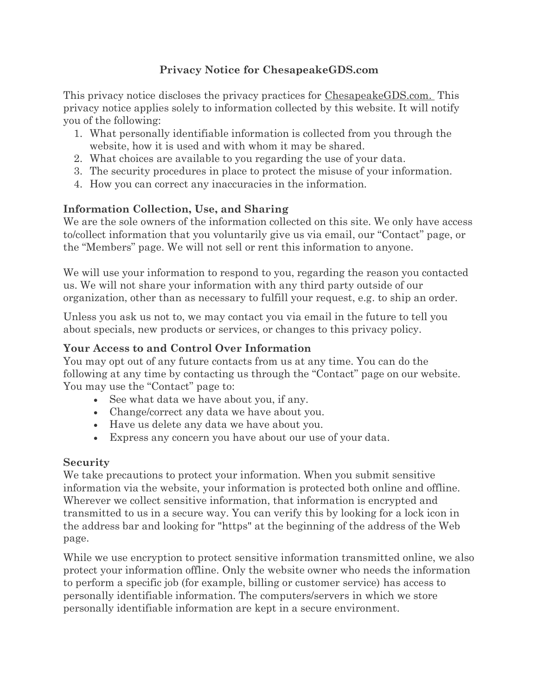# **Privacy Notice for ChesapeakeGDS.com**

This privacy notice discloses the privacy practices for ChesapeakeGDS.com. This privacy notice applies solely to information collected by this website. It will notify you of the following:

- 1. What personally identifiable information is collected from you through the website, how it is used and with whom it may be shared.
- 2. What choices are available to you regarding the use of your data.
- 3. The security procedures in place to protect the misuse of your information.
- 4. How you can correct any inaccuracies in the information.

# **Information Collection, Use, and Sharing**

We are the sole owners of the information collected on this site. We only have access to/collect information that you voluntarily give us via email, our "Contact" page, or the "Members" page. We will not sell or rent this information to anyone.

We will use your information to respond to you, regarding the reason you contacted us. We will not share your information with any third party outside of our organization, other than as necessary to fulfill your request, e.g. to ship an order.

Unless you ask us not to, we may contact you via email in the future to tell you about specials, new products or services, or changes to this privacy policy.

#### **Your Access to and Control Over Information**

You may opt out of any future contacts from us at any time. You can do the following at any time by contacting us through the "Contact" page on our website. You may use the "Contact" page to:

- See what data we have about you, if any.
- Change/correct any data we have about you.
- Have us delete any data we have about you.
- Express any concern you have about our use of your data.

# **Security**

We take precautions to protect your information. When you submit sensitive information via the website, your information is protected both online and offline. Wherever we collect sensitive information, that information is encrypted and transmitted to us in a secure way. You can verify this by looking for a lock icon in the address bar and looking for "https" at the beginning of the address of the Web page.

While we use encryption to protect sensitive information transmitted online, we also protect your information offline. Only the website owner who needs the information to perform a specific job (for example, billing or customer service) has access to personally identifiable information. The computers/servers in which we store personally identifiable information are kept in a secure environment.